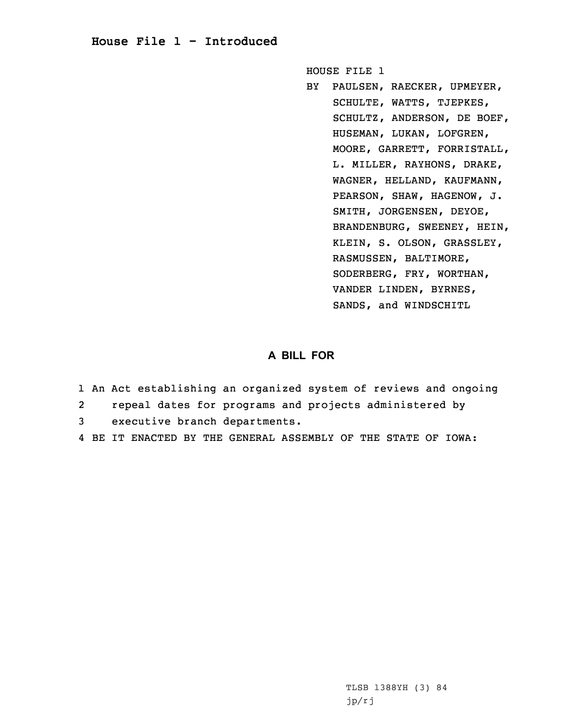## **House File 1 - Introduced**

HOUSE FILE 1

BY PAULSEN, RAECKER, UPMEYER, SCHULTE, WATTS, TJEPKES, SCHULTZ, ANDERSON, DE BOEF, HUSEMAN, LUKAN, LOFGREN, MOORE, GARRETT, FORRISTALL, L. MILLER, RAYHONS, DRAKE, WAGNER, HELLAND, KAUFMANN, PEARSON, SHAW, HAGENOW, J. SMITH, JORGENSEN, DEYOE, BRANDENBURG, SWEENEY, HEIN, KLEIN, S. OLSON, GRASSLEY, RASMUSSEN, BALTIMORE, SODERBERG, FRY, WORTHAN, VANDER LINDEN, BYRNES, SANDS, and WINDSCHITL

## **A BILL FOR**

- 1 An Act establishing an organized system of reviews and ongoing
- 2repeal dates for programs and projects administered by
- 3 executive branch departments.
- 4 BE IT ENACTED BY THE GENERAL ASSEMBLY OF THE STATE OF IOWA: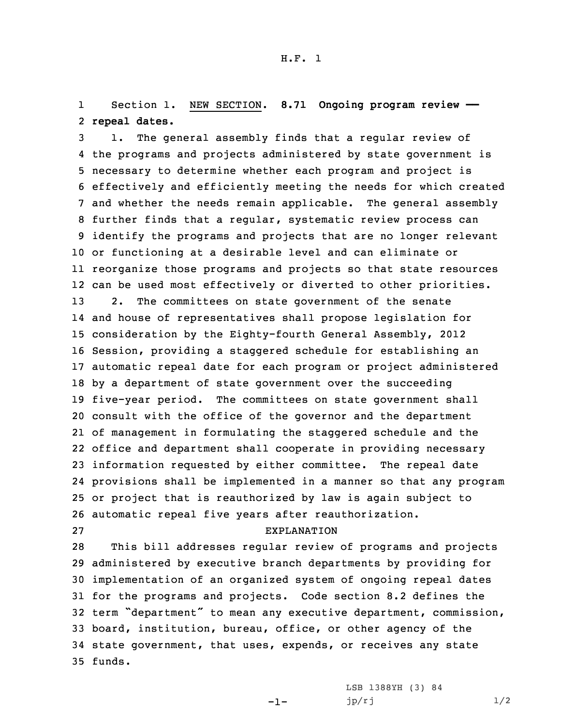1 Section 1. NEW SECTION. **8.71 Ongoing program review ——** 2 **repeal dates.**

 1. The general assembly finds that <sup>a</sup> regular review of the programs and projects administered by state government is necessary to determine whether each program and project is effectively and efficiently meeting the needs for which created and whether the needs remain applicable. The general assembly further finds that <sup>a</sup> regular, systematic review process can identify the programs and projects that are no longer relevant or functioning at <sup>a</sup> desirable level and can eliminate or reorganize those programs and projects so that state resources can be used most effectively or diverted to other priorities. 2. The committees on state government of the senate and house of representatives shall propose legislation for consideration by the Eighty-fourth General Assembly, 2012 Session, providing <sup>a</sup> staggered schedule for establishing an automatic repeal date for each program or project administered by <sup>a</sup> department of state government over the succeeding five-year period. The committees on state government shall consult with the office of the governor and the department of management in formulating the staggered schedule and the office and department shall cooperate in providing necessary information requested by either committee. The repeal date provisions shall be implemented in <sup>a</sup> manner so that any program or project that is reauthorized by law is again subject to automatic repeal five years after reauthorization.

## 27 EXPLANATION

 This bill addresses regular review of programs and projects administered by executive branch departments by providing for implementation of an organized system of ongoing repeal dates for the programs and projects. Code section 8.2 defines the term "department" to mean any executive department, commission, board, institution, bureau, office, or other agency of the state government, that uses, expends, or receives any state 35 funds.

-1-

LSB 1388YH (3) 84  $jp/rj$   $1/2$